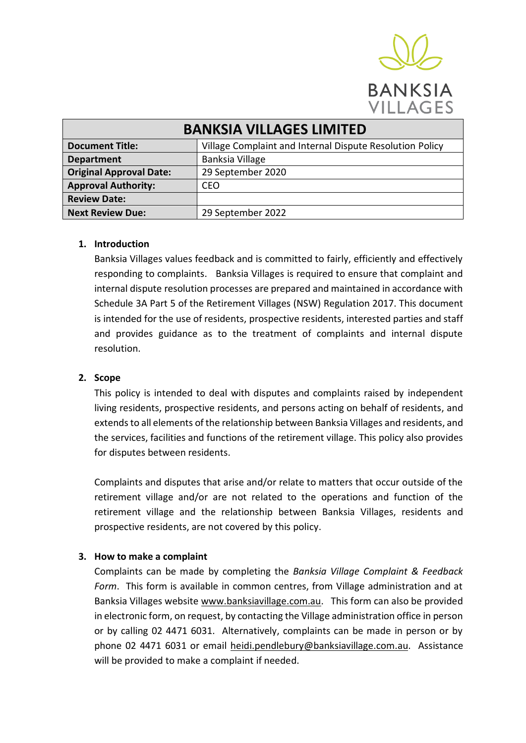

**BANKSIA VILLAGES** 

| <b>BANKSIA VILLAGES LIMITED</b> |                                                          |
|---------------------------------|----------------------------------------------------------|
| <b>Document Title:</b>          | Village Complaint and Internal Dispute Resolution Policy |
| <b>Department</b>               | Banksia Village                                          |
| <b>Original Approval Date:</b>  | 29 September 2020                                        |
| <b>Approval Authority:</b>      | <b>CEO</b>                                               |
| <b>Review Date:</b>             |                                                          |
| <b>Next Review Due:</b>         | 29 September 2022                                        |

### **1. Introduction**

Banksia Villages values feedback and is committed to fairly, efficiently and effectively responding to complaints. Banksia Villages is required to ensure that complaint and internal dispute resolution processes are prepared and maintained in accordance with Schedule 3A Part 5 of the Retirement Villages (NSW) Regulation 2017. This document is intended for the use of residents, prospective residents, interested parties and staff and provides guidance as to the treatment of complaints and internal dispute resolution.

#### **2. Scope**

This policy is intended to deal with disputes and complaints raised by independent living residents, prospective residents, and persons acting on behalf of residents, and extends to all elements of the relationship between Banksia Villages and residents, and the services, facilities and functions of the retirement village. This policy also provides for disputes between residents.

Complaints and disputes that arise and/or relate to matters that occur outside of the retirement village and/or are not related to the operations and function of the retirement village and the relationship between Banksia Villages, residents and prospective residents, are not covered by this policy.

## **3. How to make a complaint**

Complaints can be made by completing the *Banksia Village Complaint & Feedback Form*. This form is available in common centres, from Village administration and at Banksia Villages website [www.banksiavillage.com.au.](http://www.banksiavillage.com.au/) This form can also be provided in electronic form, on request, by contacting the Village administration office in person or by calling 02 4471 6031. Alternatively, complaints can be made in person or by phone 02 4471 6031 or email [heidi.pendlebury@banksiavillage.com.au.](mailto:heidi.pendlebury@banksiavillage.com.au) Assistance will be provided to make a complaint if needed.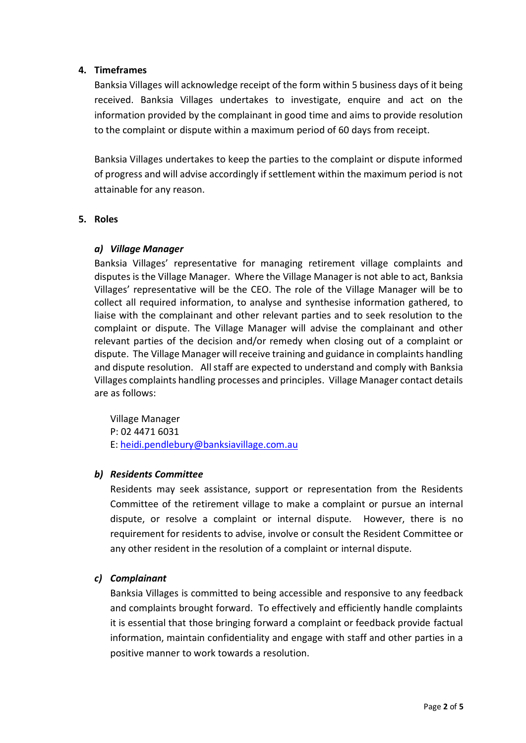# **4. Timeframes**

Banksia Villages will acknowledge receipt of the form within 5 business days of it being received. Banksia Villages undertakes to investigate, enquire and act on the information provided by the complainant in good time and aims to provide resolution to the complaint or dispute within a maximum period of 60 days from receipt.

Banksia Villages undertakes to keep the parties to the complaint or dispute informed of progress and will advise accordingly if settlement within the maximum period is not attainable for any reason.

# **5. Roles**

# *a) Village Manager*

Banksia Villages' representative for managing retirement village complaints and disputes is the Village Manager. Where the Village Manager is not able to act, Banksia Villages' representative will be the CEO. The role of the Village Manager will be to collect all required information, to analyse and synthesise information gathered, to liaise with the complainant and other relevant parties and to seek resolution to the complaint or dispute. The Village Manager will advise the complainant and other relevant parties of the decision and/or remedy when closing out of a complaint or dispute. The Village Manager will receive training and guidance in complaints handling and dispute resolution. All staff are expected to understand and comply with Banksia Villages complaints handling processes and principles. Village Manager contact details are as follows:

Village Manager P: 02 4471 6031 E: [heidi.pendlebury@banksiavillage.com.au](mailto:heidi.pendlebury@banksiavillage.com.au) 

## *b) Residents Committee*

Residents may seek assistance, support or representation from the Residents Committee of the retirement village to make a complaint or pursue an internal dispute, or resolve a complaint or internal dispute. However, there is no requirement for residents to advise, involve or consult the Resident Committee or any other resident in the resolution of a complaint or internal dispute.

## *c) Complainant*

Banksia Villages is committed to being accessible and responsive to any feedback and complaints brought forward. To effectively and efficiently handle complaints it is essential that those bringing forward a complaint or feedback provide factual information, maintain confidentiality and engage with staff and other parties in a positive manner to work towards a resolution.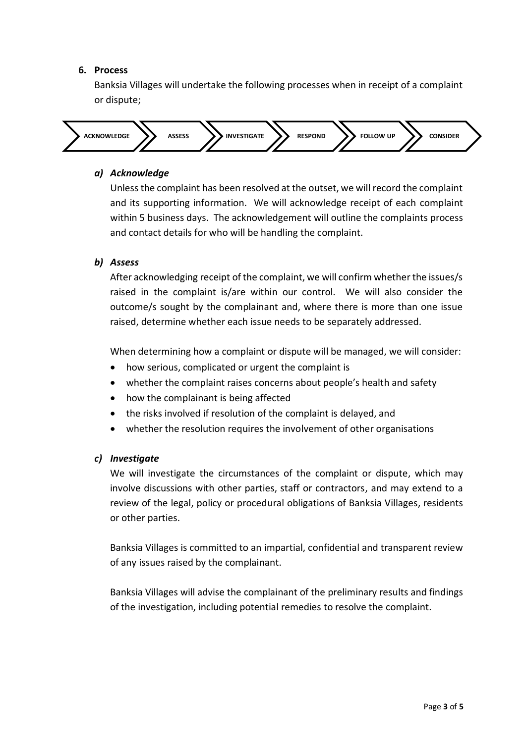## **6. Process**

Banksia Villages will undertake the following processes when in receipt of a complaint or dispute;



### *a) Acknowledge*

Unless the complaint has been resolved at the outset, we will record the complaint and its supporting information. We will acknowledge receipt of each complaint within 5 business days. The acknowledgement will outline the complaints process and contact details for who will be handling the complaint.

## *b) Assess*

After acknowledging receipt of the complaint, we will confirm whether the issues/s raised in the complaint is/are within our control. We will also consider the outcome/s sought by the complainant and, where there is more than one issue raised, determine whether each issue needs to be separately addressed.

When determining how a complaint or dispute will be managed, we will consider:

- how serious, complicated or urgent the complaint is
- whether the complaint raises concerns about people's health and safety
- how the complainant is being affected
- the risks involved if resolution of the complaint is delayed, and
- whether the resolution requires the involvement of other organisations

#### *c) Investigate*

We will investigate the circumstances of the complaint or dispute, which may involve discussions with other parties, staff or contractors, and may extend to a review of the legal, policy or procedural obligations of Banksia Villages, residents or other parties.

Banksia Villages is committed to an impartial, confidential and transparent review of any issues raised by the complainant.

Banksia Villages will advise the complainant of the preliminary results and findings of the investigation, including potential remedies to resolve the complaint.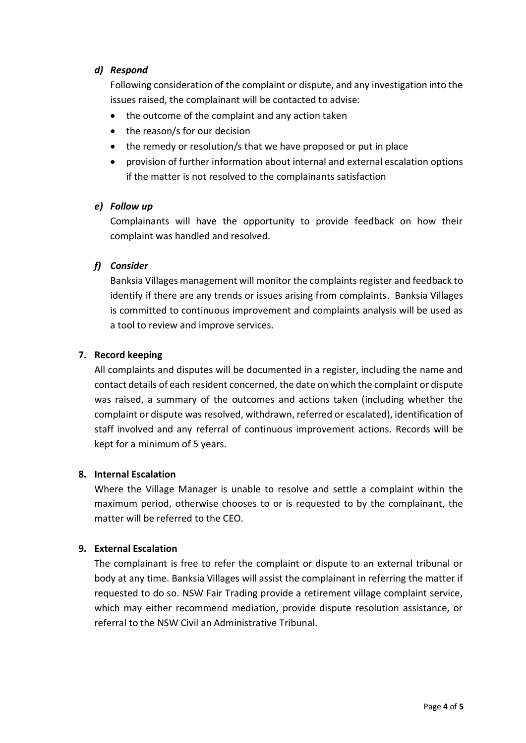# *d) Respond*

Following consideration of the complaint or dispute, and any investigation into the issues raised, the complainant will be contacted to advise:

- the outcome of the complaint and any action taken
- the reason/s for our decision
- the remedy or resolution/s that we have proposed or put in place
- provision of further information about internal and external escalation options if the matter is not resolved to the complainants satisfaction

## *e) Follow up*

Complainants will have the opportunity to provide feedback on how their complaint was handled and resolved.

# *f) Consider*

Banksia Villages management will monitor the complaints register and feedback to identify if there are any trends or issues arising from complaints. Banksia Villages is committed to continuous improvement and complaints analysis will be used as a tool to review and improve services.

# **7. Record keeping**

All complaints and disputes will be documented in a register, including the name and contact details of each resident concerned, the date on which the complaint or dispute was raised, a summary of the outcomes and actions taken (including whether the complaint or dispute was resolved, withdrawn, referred or escalated), identification of staff involved and any referral of continuous improvement actions. Records will be kept for a minimum of 5 years.

## **8. Internal Escalation**

Where the Village Manager is unable to resolve and settle a complaint within the maximum period, otherwise chooses to or is requested to by the complainant, the matter will be referred to the CEO.

## **9. External Escalation**

The complainant is free to refer the complaint or dispute to an external tribunal or body at any time. Banksia Villages will assist the complainant in referring the matter if requested to do so. NSW Fair Trading provide a retirement village complaint service, which may either recommend mediation, provide dispute resolution assistance, or referral to the NSW Civil an Administrative Tribunal.